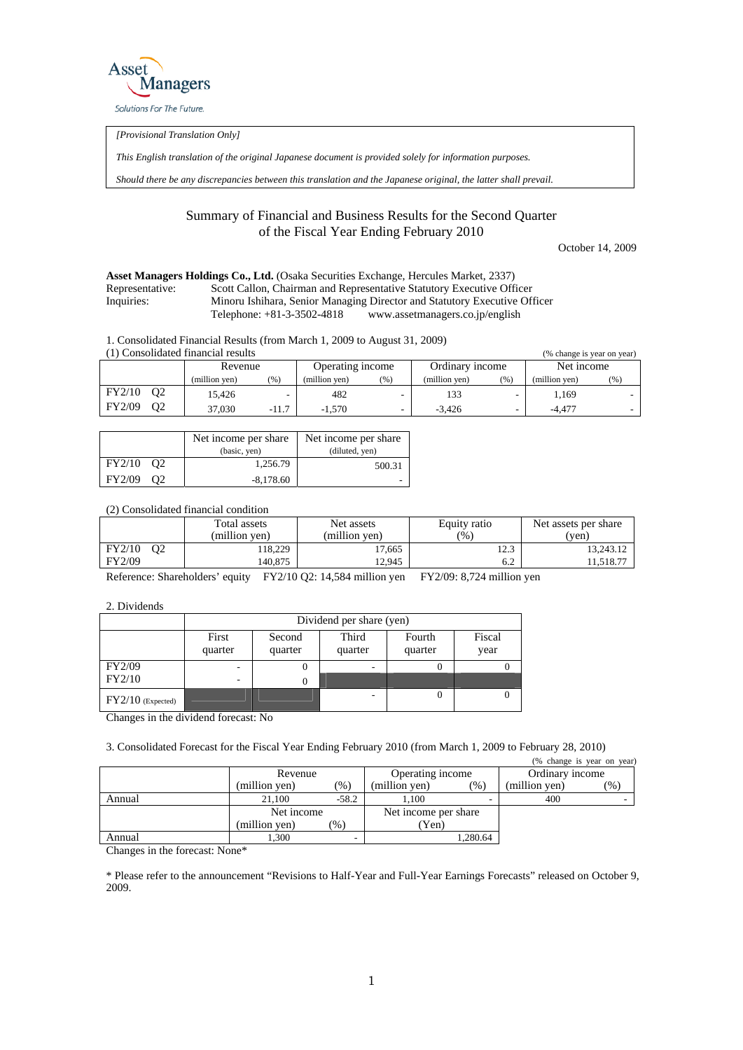

*[Provisional Translation Only]* 

*This English translation of the original Japanese document is provided solely for information purposes.* 

*Should there be any discrepancies between this translation and the Japanese original, the latter shall prevail.*

## Summary of Financial and Business Results for the Second Quarter of the Fiscal Year Ending February 2010

October 14, 2009

| <b>Asset Managers Holdings Co., Ltd.</b> (Osaka Securities Exchange, Hercules Market, 2337) |                              |                                                                           |  |  |  |
|---------------------------------------------------------------------------------------------|------------------------------|---------------------------------------------------------------------------|--|--|--|
| Representative:                                                                             |                              | Scott Callon, Chairman and Representative Statutory Executive Officer     |  |  |  |
| Inquiries:                                                                                  |                              | Minoru Ishihara, Senior Managing Director and Statutory Executive Officer |  |  |  |
|                                                                                             | Telephone: $+81-3-3502-4818$ | www.assetmanagers.co.jp/english                                           |  |  |  |

1. Consolidated Financial Results (from March 1, 2009 to August 31, 2009)

| (1) Consolidated financial results<br>(% change is year on year) |                |               |                  |               |                 |               |            |               |         |
|------------------------------------------------------------------|----------------|---------------|------------------|---------------|-----------------|---------------|------------|---------------|---------|
|                                                                  | Revenue        |               | Operating income |               | Ordinary income |               | Net income |               |         |
|                                                                  |                | (million ven) | (% )             | (million ven) | (%)             | (million ven) | (%)        | (million ven) | $(\% )$ |
| FY2/10                                                           | 02             | 15.426        |                  | 482           |                 |               |            | 1.169         |         |
| FY2/09                                                           | O <sub>2</sub> | 37,030        | $-11.7$          | $-1.570$      |                 | $-3.426$      |            | $-4.477$      |         |

|              | Net income per share | Net income per share |
|--------------|----------------------|----------------------|
|              | (basic, yen)         | (diluted, yen)       |
| FY2/10 O2    | 1,256.79             | 500.31               |
| FY2/09<br>റാ | $-8.178.60$          |                      |

(2) Consolidated financial condition

|                    | Total assets<br>(million ven) | Net assets<br>(million ven) | Equity ratio<br>$\frac{9}{6}$ | Net assets per share<br>(ven) |  |
|--------------------|-------------------------------|-----------------------------|-------------------------------|-------------------------------|--|
| FY2/10<br>$\Omega$ | 18.229                        | 17.665                      | 1 ^ 2<br>ن کل                 | 13.243.12                     |  |
| <b>FY2/09</b>      | 140.875                       | 12.945                      | 6.2                           | 1.518.77                      |  |

Reference: Shareholders' equity FY2/10 Q2: 14,584 million yen FY2/09: 8,724 million yen

2. Dividends

|                     | Dividend per share (yen)     |                   |                  |                   |                |  |  |
|---------------------|------------------------------|-------------------|------------------|-------------------|----------------|--|--|
|                     | First<br>quarter             | Second<br>quarter | Third<br>quarter | Fourth<br>quarter | Fiscal<br>year |  |  |
| <b>FY2/09</b>       |                              | υ                 |                  | U                 |                |  |  |
| FY2/10              | $\qquad \qquad \blacksquare$ |                   |                  |                   |                |  |  |
| $FY2/10$ (Expected) |                              |                   |                  | 0                 |                |  |  |

Changes in the dividend forecast: No

3. Consolidated Forecast for the Fiscal Year Ending February 2010 (from March 1, 2009 to February 28, 2010)

|                                             |               |         |                      |          |                 | (% change is year on year) |
|---------------------------------------------|---------------|---------|----------------------|----------|-----------------|----------------------------|
|                                             | Revenue       |         | Operating income     |          | Ordinary income |                            |
|                                             | (million yen) | $(\%)$  | (million yen)        | $(\% )$  | (million yen)   | $\gamma_{0}$               |
| Annual                                      | 21.100        | $-58.2$ | 1.100                |          | 400             |                            |
|                                             | Net income    |         | Net income per share |          |                 |                            |
|                                             | (million yen) | (%)     | (Yen)                |          |                 |                            |
| Annual                                      | 1,300         |         |                      | 1,280.64 |                 |                            |
| $\sim$<br>$\sim$<br><b>1999</b><br>$\cdots$ | $\sim$        |         |                      |          |                 |                            |

Changes in the forecast: None\*

\* Please refer to the announcement "Revisions to Half-Year and Full-Year Earnings Forecasts" released on October 9, 2009.